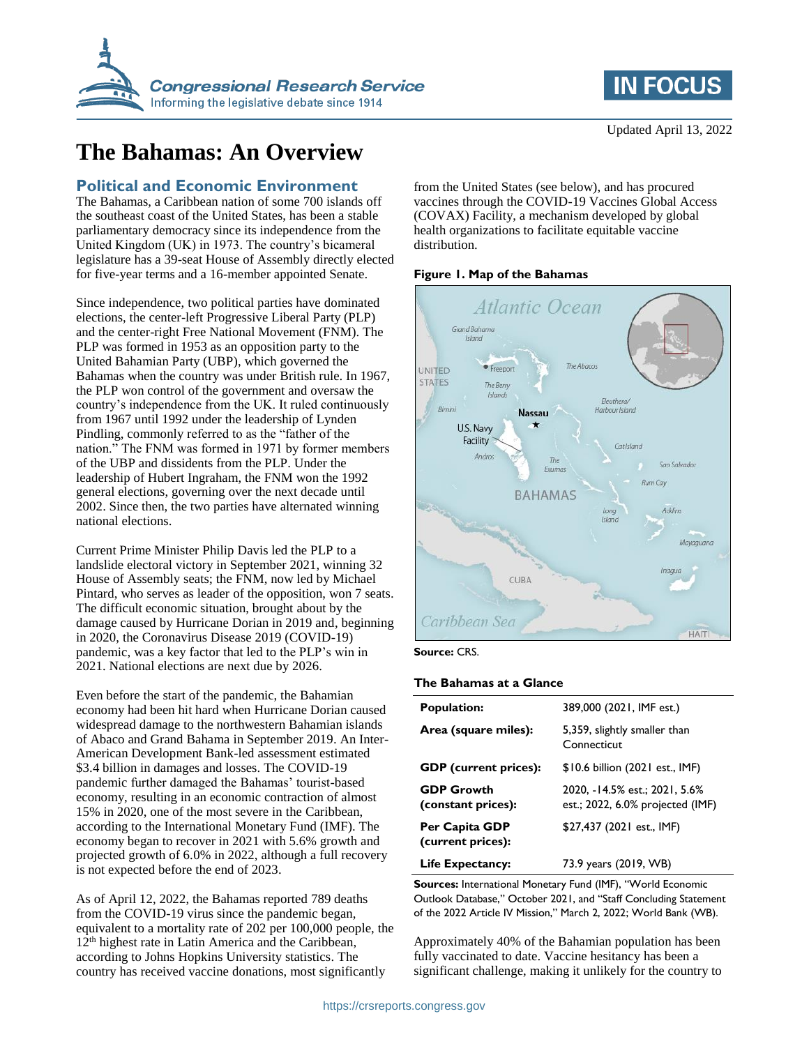

# **The Bahamas: An Overview**

### **Political and Economic Environment**

The Bahamas, a Caribbean nation of some 700 islands off the southeast coast of the United States, has been a stable parliamentary democracy since its independence from the United Kingdom (UK) in 1973. The country's bicameral legislature has a 39-seat House of Assembly directly elected for five-year terms and a 16-member appointed Senate.

Since independence, two political parties have dominated elections, the center-left Progressive Liberal Party (PLP) and the center-right Free National Movement (FNM). The PLP was formed in 1953 as an opposition party to the United Bahamian Party (UBP), which governed the Bahamas when the country was under British rule. In 1967, the PLP won control of the government and oversaw the country's independence from the UK. It ruled continuously from 1967 until 1992 under the leadership of Lynden Pindling, commonly referred to as the "father of the nation." The FNM was formed in 1971 by former members of the UBP and dissidents from the PLP. Under the leadership of Hubert Ingraham, the FNM won the 1992 general elections, governing over the next decade until 2002. Since then, the two parties have alternated winning national elections.

Current Prime Minister Philip Davis led the PLP to a landslide electoral victory in September 2021, winning 32 House of Assembly seats; the FNM, now led by Michael Pintard, who serves as leader of the opposition, won 7 seats. The difficult economic situation, brought about by the damage caused by Hurricane Dorian in 2019 and, beginning in 2020, the Coronavirus Disease 2019 (COVID-19) pandemic, was a key factor that led to the PLP's win in 2021. National elections are next due by 2026.

Even before the start of the pandemic, the Bahamian economy had been hit hard when Hurricane Dorian caused widespread damage to the northwestern Bahamian islands of Abaco and Grand Bahama in September 2019. An Inter-American Development Bank-led assessment estimated \$3.4 billion in damages and losses. The COVID-19 pandemic further damaged the Bahamas' tourist-based economy, resulting in an economic contraction of almost 15% in 2020, one of the most severe in the Caribbean, according to the International Monetary Fund (IMF). The economy began to recover in 2021 with 5.6% growth and projected growth of 6.0% in 2022, although a full recovery is not expected before the end of 2023.

As of April 12, 2022, the Bahamas reported 789 deaths from the COVID-19 virus since the pandemic began, equivalent to a mortality rate of 202 per 100,000 people, the 12<sup>th</sup> highest rate in Latin America and the Caribbean, according to Johns Hopkins University statistics. The country has received vaccine donations, most significantly

from the United States (see below), and has procured vaccines through the COVID-19 Vaccines Global Access (COVAX) Facility, a mechanism developed by global health organizations to facilitate equitable vaccine distribution.

#### **Figure 1. Map of the Bahamas**



#### **Source:** CRS.

#### **The Bahamas at a Glance**

| <b>Population:</b>                      | 389,000 (2021, IMF est.)                                          |
|-----------------------------------------|-------------------------------------------------------------------|
| Area (square miles):                    | 5,359, slightly smaller than<br>Connecticut                       |
| <b>GDP</b> (current prices):            | \$10.6 billion (2021 est., IMF)                                   |
| <b>GDP Growth</b><br>(constant prices): | 2020. -14.5% est.: 2021. 5.6%<br>est.; 2022, 6.0% projected (IMF) |
| Per Capita GDP<br>(current prices):     | \$27,437 (2021 est., IMF)                                         |
| Life Expectancy:                        | 73.9 years (2019, WB)                                             |

**Sources:** International Monetary Fund (IMF), "World Economic Outlook Database," October 2021, and "Staff Concluding Statement of the 2022 Article IV Mission," March 2, 2022; World Bank (WB).

Approximately 40% of the Bahamian population has been fully vaccinated to date. Vaccine hesitancy has been a significant challenge, making it unlikely for the country to

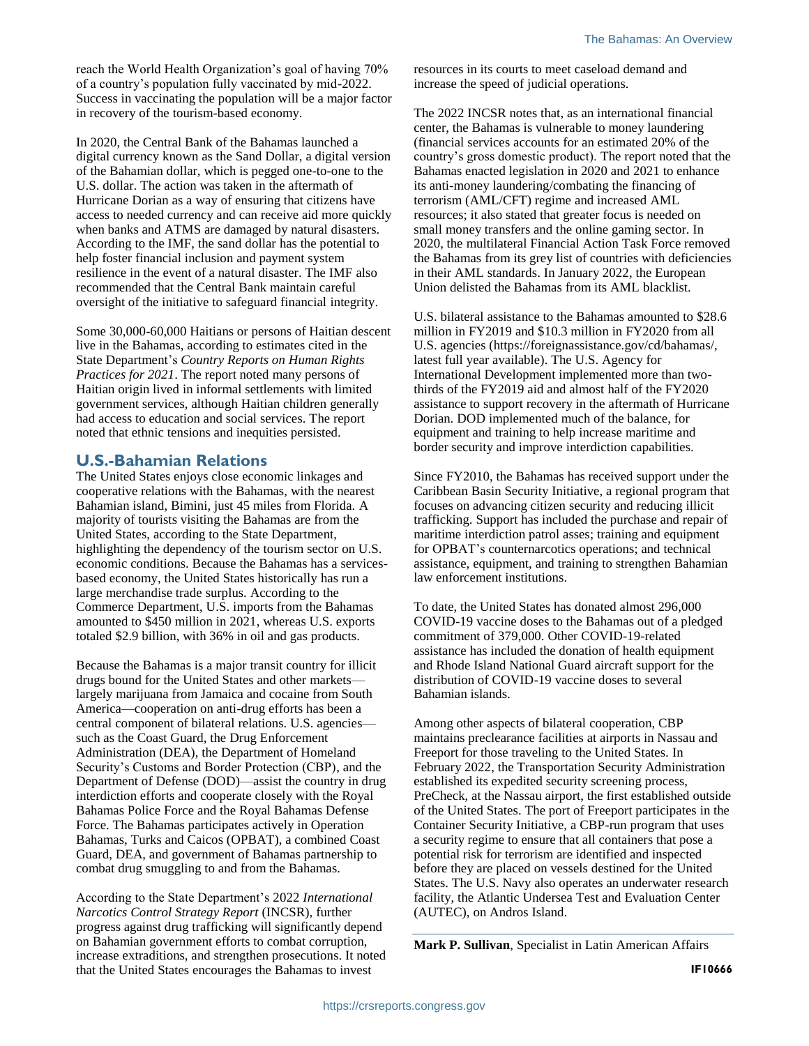reach the World Health Organization's goal of having 70% of a country's population fully vaccinated by mid-2022. Success in vaccinating the population will be a major factor in recovery of the tourism-based economy.

In 2020, the Central Bank of the Bahamas launched a digital currency known as the Sand Dollar, a digital version of the Bahamian dollar, which is pegged one-to-one to the U.S. dollar. The action was taken in the aftermath of Hurricane Dorian as a way of ensuring that citizens have access to needed currency and can receive aid more quickly when banks and ATMS are damaged by natural disasters. According to the IMF, the sand dollar has the potential to help foster financial inclusion and payment system resilience in the event of a natural disaster. The IMF also recommended that the Central Bank maintain careful oversight of the initiative to safeguard financial integrity.

Some 30,000-60,000 Haitians or persons of Haitian descent live in the Bahamas, according to estimates cited in the State Department's *Country Reports on Human Rights Practices for 2021*. The report noted many persons of Haitian origin lived in informal settlements with limited government services, although Haitian children generally had access to education and social services. The report noted that ethnic tensions and inequities persisted.

## **U.S.-Bahamian Relations**

The United States enjoys close economic linkages and cooperative relations with the Bahamas, with the nearest Bahamian island, Bimini, just 45 miles from Florida. A majority of tourists visiting the Bahamas are from the United States, according to the State Department, highlighting the dependency of the tourism sector on U.S. economic conditions. Because the Bahamas has a servicesbased economy, the United States historically has run a large merchandise trade surplus. According to the Commerce Department, U.S. imports from the Bahamas amounted to \$450 million in 2021, whereas U.S. exports totaled \$2.9 billion, with 36% in oil and gas products.

Because the Bahamas is a major transit country for illicit drugs bound for the United States and other markets largely marijuana from Jamaica and cocaine from South America—cooperation on anti-drug efforts has been a central component of bilateral relations. U.S. agencies such as the Coast Guard, the Drug Enforcement Administration (DEA), the Department of Homeland Security's Customs and Border Protection (CBP), and the Department of Defense (DOD)—assist the country in drug interdiction efforts and cooperate closely with the Royal Bahamas Police Force and the Royal Bahamas Defense Force. The Bahamas participates actively in Operation Bahamas, Turks and Caicos (OPBAT), a combined Coast Guard, DEA, and government of Bahamas partnership to combat drug smuggling to and from the Bahamas.

According to the State Department's 2022 *International Narcotics Control Strategy Report* (INCSR), further progress against drug trafficking will significantly depend on Bahamian government efforts to combat corruption, increase extraditions, and strengthen prosecutions. It noted that the United States encourages the Bahamas to invest

resources in its courts to meet caseload demand and increase the speed of judicial operations.

The 2022 INCSR notes that, as an international financial center, the Bahamas is vulnerable to money laundering (financial services accounts for an estimated 20% of the country's gross domestic product). The report noted that the Bahamas enacted legislation in 2020 and 2021 to enhance its anti-money laundering/combating the financing of terrorism (AML/CFT) regime and increased AML resources; it also stated that greater focus is needed on small money transfers and the online gaming sector. In 2020, the multilateral Financial Action Task Force removed the Bahamas from its grey list of countries with deficiencies in their AML standards. In January 2022, the European Union delisted the Bahamas from its AML blacklist.

U.S. bilateral assistance to the Bahamas amounted to \$28.6 million in FY2019 and \$10.3 million in FY2020 from all U.S. agencies (https://foreignassistance.gov/cd/bahamas/, latest full year available). The U.S. Agency for International Development implemented more than twothirds of the FY2019 aid and almost half of the FY2020 assistance to support recovery in the aftermath of Hurricane Dorian. DOD implemented much of the balance, for equipment and training to help increase maritime and border security and improve interdiction capabilities.

Since FY2010, the Bahamas has received support under the Caribbean Basin Security Initiative, a regional program that focuses on advancing citizen security and reducing illicit trafficking. Support has included the purchase and repair of maritime interdiction patrol asses; training and equipment for OPBAT's counternarcotics operations; and technical assistance, equipment, and training to strengthen Bahamian law enforcement institutions.

To date, the United States has donated almost 296,000 COVID-19 vaccine doses to the Bahamas out of a pledged commitment of 379,000. Other COVID-19-related assistance has included the donation of health equipment and Rhode Island National Guard aircraft support for the distribution of COVID-19 vaccine doses to several Bahamian islands.

Among other aspects of bilateral cooperation, CBP maintains preclearance facilities at airports in Nassau and Freeport for those traveling to the United States. In February 2022, the Transportation Security Administration established its expedited security screening process, PreCheck, at the Nassau airport, the first established outside of the United States. The port of Freeport participates in the Container Security Initiative, a CBP-run program that uses a security regime to ensure that all containers that pose a potential risk for terrorism are identified and inspected before they are placed on vessels destined for the United States. The U.S. Navy also operates an underwater research facility, the Atlantic Undersea Test and Evaluation Center (AUTEC), on Andros Island.

**Mark P. Sullivan**, Specialist in Latin American Affairs